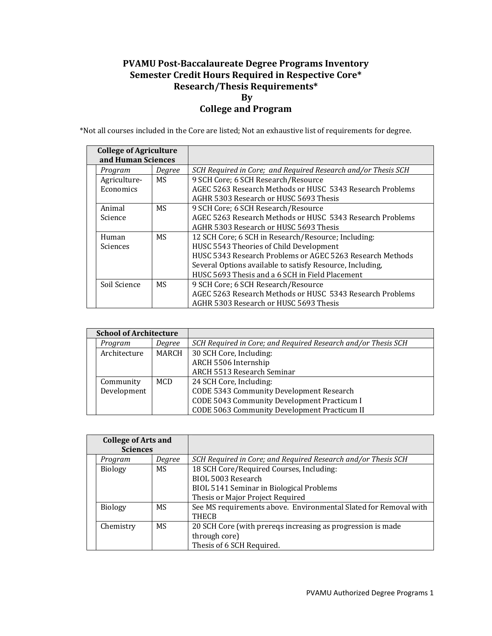## **PVAMU PostBaccalaureate Degree Programs Inventory Semester Credit Hours Required in Respective Core\* Research/Thesis Requirements\* By College and Program**

\*Not all courses included in the Core are listed; Not an exhaustive list of requirements for degree.

| <b>College of Agriculture</b><br>and Human Sciences |           |                                                               |
|-----------------------------------------------------|-----------|---------------------------------------------------------------|
| Program                                             | Degree    | SCH Required in Core; and Required Research and/or Thesis SCH |
| Agriculture-                                        | MS.       | 9 SCH Core; 6 SCH Research/Resource                           |
| Economics                                           |           | AGEC 5263 Research Methods or HUSC 5343 Research Problems     |
|                                                     |           | AGHR 5303 Research or HUSC 5693 Thesis                        |
| Animal                                              | MS        | 9 SCH Core; 6 SCH Research/Resource                           |
| Science                                             |           | AGEC 5263 Research Methods or HUSC 5343 Research Problems     |
|                                                     |           | AGHR 5303 Research or HUSC 5693 Thesis                        |
| Human                                               | <b>MS</b> | 12 SCH Core; 6 SCH in Research/Resource; Including:           |
| Sciences                                            |           | HUSC 5543 Theories of Child Development                       |
|                                                     |           | HUSC 5343 Research Problems or AGEC 5263 Research Methods     |
|                                                     |           | Several Options available to satisfy Resource, Including,     |
|                                                     |           | HUSC 5693 Thesis and a 6 SCH in Field Placement               |
| Soil Science                                        | MS        | 9 SCH Core; 6 SCH Research/Resource                           |
|                                                     |           | AGEC 5263 Research Methods or HUSC 5343 Research Problems     |
|                                                     |           | AGHR 5303 Research or HUSC 5693 Thesis                        |

| <b>School of Architecture</b> |        |                                                               |
|-------------------------------|--------|---------------------------------------------------------------|
| Program                       | Degree | SCH Required in Core; and Required Research and/or Thesis SCH |
| Architecture                  | MARCH  | 30 SCH Core, Including:                                       |
|                               |        | ARCH 5506 Internship                                          |
|                               |        | ARCH 5513 Research Seminar                                    |
| Community                     | MCD    | 24 SCH Core, Including:                                       |
| Development                   |        | CODE 5343 Community Development Research                      |
|                               |        | CODE 5043 Community Development Practicum I                   |
|                               |        | CODE 5063 Community Development Practicum II                  |

| <b>College of Arts and</b><br><b>Sciences</b> |        |                                                                  |
|-----------------------------------------------|--------|------------------------------------------------------------------|
| Program                                       | Degree | SCH Required in Core; and Required Research and/or Thesis SCH    |
| <b>Biology</b>                                | MS     | 18 SCH Core/Required Courses, Including:                         |
|                                               |        | BIOL 5003 Research                                               |
|                                               |        | BIOL 5141 Seminar in Biological Problems                         |
|                                               |        | Thesis or Major Project Required                                 |
| <b>Biology</b>                                | MS     | See MS requirements above. Environmental Slated for Removal with |
|                                               |        | THECB                                                            |
| Chemistry                                     | MS.    | 20 SCH Core (with preregs increasing as progression is made      |
|                                               |        | through core)                                                    |
|                                               |        | Thesis of 6 SCH Required.                                        |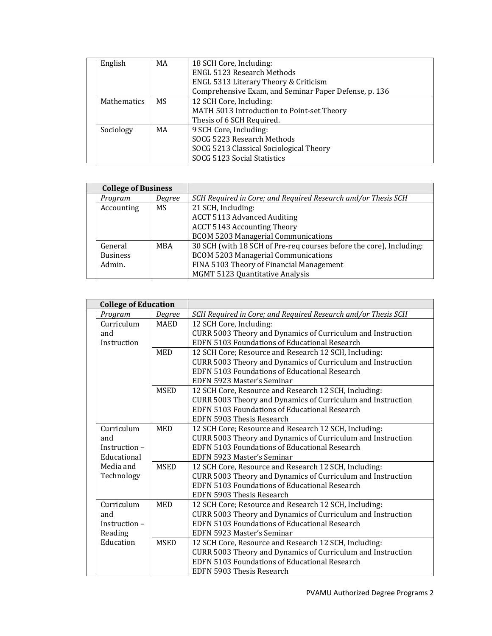|  | English            | MA | 18 SCH Core, Including:                               |
|--|--------------------|----|-------------------------------------------------------|
|  |                    |    | <b>ENGL 5123 Research Methods</b>                     |
|  |                    |    | ENGL 5313 Literary Theory & Criticism                 |
|  |                    |    | Comprehensive Exam, and Seminar Paper Defense, p. 136 |
|  | <b>Mathematics</b> | MS | 12 SCH Core, Including:                               |
|  |                    |    | MATH 5013 Introduction to Point-set Theory            |
|  |                    |    | Thesis of 6 SCH Required.                             |
|  | Sociology          | MA | 9 SCH Core, Including:                                |
|  |                    |    | SOCG 5223 Research Methods                            |
|  |                    |    | SOCG 5213 Classical Sociological Theory               |
|  |                    |    | SOCG 5123 Social Statistics                           |

| <b>College of Business</b> |        |                                                                     |
|----------------------------|--------|---------------------------------------------------------------------|
| Program                    | Degree | SCH Required in Core; and Required Research and/or Thesis SCH       |
| Accounting                 | MS.    | 21 SCH, Including:                                                  |
|                            |        | <b>ACCT 5113 Advanced Auditing</b>                                  |
|                            |        | <b>ACCT 5143 Accounting Theory</b>                                  |
|                            |        | <b>BCOM 5203 Managerial Communications</b>                          |
| General                    | MBA    | 30 SCH (with 18 SCH of Pre-req courses before the core), Including: |
| <b>Business</b>            |        | <b>BCOM 5203 Managerial Communications</b>                          |
| Admin.                     |        | FINA 5103 Theory of Financial Management                            |
|                            |        | <b>MGMT 5123 Quantitative Analysis</b>                              |

| <b>College of Education</b> |             |                                                               |
|-----------------------------|-------------|---------------------------------------------------------------|
| Program                     | Degree      | SCH Required in Core; and Required Research and/or Thesis SCH |
| Curriculum                  | MAED        | 12 SCH Core, Including:                                       |
| and                         |             | CURR 5003 Theory and Dynamics of Curriculum and Instruction   |
| Instruction                 |             | EDFN 5103 Foundations of Educational Research                 |
|                             | <b>MED</b>  | 12 SCH Core; Resource and Research 12 SCH, Including:         |
|                             |             | CURR 5003 Theory and Dynamics of Curriculum and Instruction   |
|                             |             | EDFN 5103 Foundations of Educational Research                 |
|                             |             | EDFN 5923 Master's Seminar                                    |
|                             | <b>MSED</b> | 12 SCH Core, Resource and Research 12 SCH, Including:         |
|                             |             | CURR 5003 Theory and Dynamics of Curriculum and Instruction   |
|                             |             | <b>EDFN 5103 Foundations of Educational Research</b>          |
|                             |             | EDFN 5903 Thesis Research                                     |
| Curriculum                  | <b>MED</b>  | 12 SCH Core; Resource and Research 12 SCH, Including:         |
| and                         |             | CURR 5003 Theory and Dynamics of Curriculum and Instruction   |
| Instruction-                |             | <b>EDFN 5103 Foundations of Educational Research</b>          |
| Educational                 |             | EDFN 5923 Master's Seminar                                    |
| Media and                   | <b>MSED</b> | 12 SCH Core, Resource and Research 12 SCH, Including:         |
| Technology                  |             | CURR 5003 Theory and Dynamics of Curriculum and Instruction   |
|                             |             | <b>EDFN 5103 Foundations of Educational Research</b>          |
|                             |             | EDFN 5903 Thesis Research                                     |
| Curriculum                  | <b>MED</b>  | 12 SCH Core; Resource and Research 12 SCH, Including:         |
| and                         |             | CURR 5003 Theory and Dynamics of Curriculum and Instruction   |
| Instruction -               |             | EDFN 5103 Foundations of Educational Research                 |
| Reading                     |             | EDFN 5923 Master's Seminar                                    |
| Education                   | <b>MSED</b> | 12 SCH Core, Resource and Research 12 SCH, Including:         |
|                             |             | CURR 5003 Theory and Dynamics of Curriculum and Instruction   |
|                             |             | EDFN 5103 Foundations of Educational Research                 |
|                             |             | EDFN 5903 Thesis Research                                     |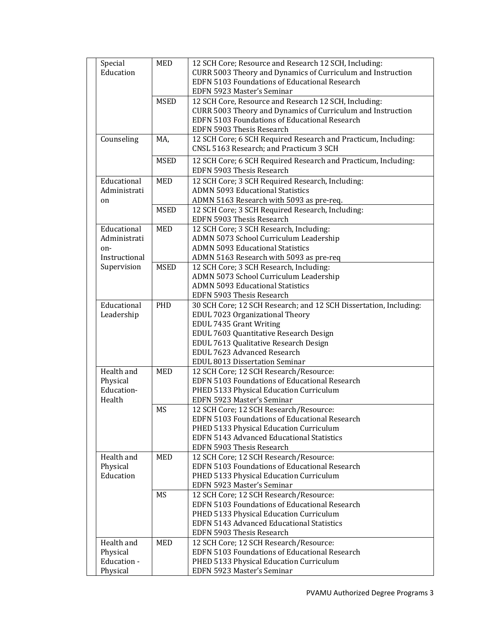| Special       | MED         | 12 SCH Core; Resource and Research 12 SCH, Including:             |
|---------------|-------------|-------------------------------------------------------------------|
| Education     |             | CURR 5003 Theory and Dynamics of Curriculum and Instruction       |
|               |             | EDFN 5103 Foundations of Educational Research                     |
|               |             | EDFN 5923 Master's Seminar                                        |
|               | <b>MSED</b> | 12 SCH Core, Resource and Research 12 SCH, Including:             |
|               |             | CURR 5003 Theory and Dynamics of Curriculum and Instruction       |
|               |             | EDFN 5103 Foundations of Educational Research                     |
|               |             | EDFN 5903 Thesis Research                                         |
| Counseling    | MA,         | 12 SCH Core; 6 SCH Required Research and Practicum, Including:    |
|               |             | CNSL 5163 Research; and Practicum 3 SCH                           |
|               | <b>MSED</b> | 12 SCH Core; 6 SCH Required Research and Practicum, Including:    |
|               |             | EDFN 5903 Thesis Research                                         |
|               |             |                                                                   |
| Educational   | MED         | 12 SCH Core; 3 SCH Required Research, Including:                  |
| Administrati  |             | <b>ADMN 5093 Educational Statistics</b>                           |
| on            |             | ADMN 5163 Research with 5093 as pre-req.                          |
|               | <b>MSED</b> | 12 SCH Core; 3 SCH Required Research, Including:                  |
|               |             | EDFN 5903 Thesis Research                                         |
| Educational   | <b>MED</b>  | 12 SCH Core; 3 SCH Research, Including:                           |
| Administrati  |             | ADMN 5073 School Curriculum Leadership                            |
| on-           |             | <b>ADMN 5093 Educational Statistics</b>                           |
| Instructional |             | ADMN 5163 Research with 5093 as pre-req                           |
| Supervision   | <b>MSED</b> | 12 SCH Core; 3 SCH Research, Including:                           |
|               |             | ADMN 5073 School Curriculum Leadership                            |
|               |             | <b>ADMN 5093 Educational Statistics</b>                           |
|               |             | EDFN 5903 Thesis Research                                         |
| Educational   | PHD         | 30 SCH Core; 12 SCH Research; and 12 SCH Dissertation, Including: |
| Leadership    |             | EDUL 7023 Organizational Theory                                   |
|               |             | EDUL 7435 Grant Writing                                           |
|               |             | EDUL 7603 Quantitative Research Design                            |
|               |             | EDUL 7613 Qualitative Research Design                             |
|               |             | EDUL 7623 Advanced Research                                       |
|               |             | EDUL 8013 Dissertation Seminar                                    |
| Health and    | MED         | 12 SCH Core; 12 SCH Research/Resource:                            |
| Physical      |             | EDFN 5103 Foundations of Educational Research                     |
| Education-    |             | PHED 5133 Physical Education Curriculum                           |
| Health        |             | EDFN 5923 Master's Seminar                                        |
|               | MS          | 12 SCH Core; 12 SCH Research/Resource:                            |
|               |             | EDFN 5103 Foundations of Educational Research                     |
|               |             | PHED 5133 Physical Education Curriculum                           |
|               |             | EDFN 5143 Advanced Educational Statistics                         |
|               |             | EDFN 5903 Thesis Research                                         |
| Health and    | MED         | 12 SCH Core; 12 SCH Research/Resource:                            |
| Physical      |             | EDFN 5103 Foundations of Educational Research                     |
| Education     |             | PHED 5133 Physical Education Curriculum                           |
|               |             | EDFN 5923 Master's Seminar                                        |
|               | MS          | 12 SCH Core; 12 SCH Research/Resource:                            |
|               |             | EDFN 5103 Foundations of Educational Research                     |
|               |             | PHED 5133 Physical Education Curriculum                           |
|               |             | EDFN 5143 Advanced Educational Statistics                         |
|               |             | EDFN 5903 Thesis Research                                         |
| Health and    | MED         | 12 SCH Core; 12 SCH Research/Resource:                            |
| Physical      |             | EDFN 5103 Foundations of Educational Research                     |
| Education -   |             | PHED 5133 Physical Education Curriculum                           |
| Physical      |             | EDFN 5923 Master's Seminar                                        |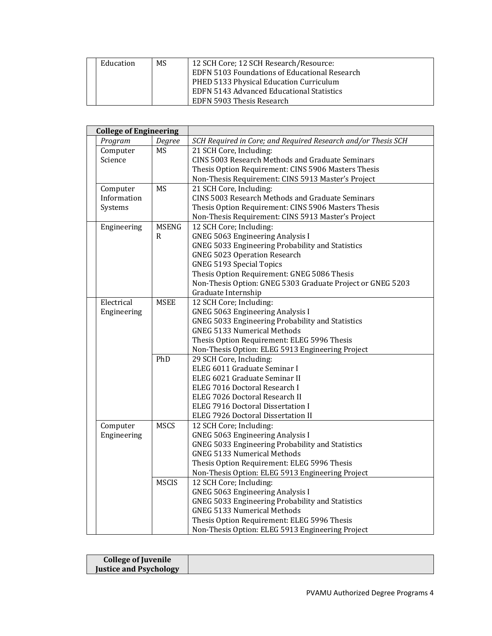| Education | MS | 12 SCH Core; 12 SCH Research/Resource:        |
|-----------|----|-----------------------------------------------|
|           |    | EDFN 5103 Foundations of Educational Research |
|           |    | PHED 5133 Physical Education Curriculum       |
|           |    | EDFN 5143 Advanced Educational Statistics     |
|           |    | EDFN 5903 Thesis Research                     |

| <b>College of Engineering</b> |              |                                                               |
|-------------------------------|--------------|---------------------------------------------------------------|
| Program                       | Degree       | SCH Required in Core; and Required Research and/or Thesis SCH |
| Computer                      | <b>MS</b>    | 21 SCH Core, Including:                                       |
| Science                       |              | CINS 5003 Research Methods and Graduate Seminars              |
|                               |              | Thesis Option Requirement: CINS 5906 Masters Thesis           |
|                               |              | Non-Thesis Requirement: CINS 5913 Master's Project            |
| Computer                      | <b>MS</b>    | 21 SCH Core, Including:                                       |
| Information                   |              | CINS 5003 Research Methods and Graduate Seminars              |
| Systems                       |              | Thesis Option Requirement: CINS 5906 Masters Thesis           |
|                               |              | Non-Thesis Requirement: CINS 5913 Master's Project            |
| Engineering                   | <b>MSENG</b> | 12 SCH Core; Including:                                       |
|                               | R            | <b>GNEG 5063 Engineering Analysis I</b>                       |
|                               |              | GNEG 5033 Engineering Probability and Statistics              |
|                               |              | <b>GNEG 5023 Operation Research</b>                           |
|                               |              | <b>GNEG 5193 Special Topics</b>                               |
|                               |              | Thesis Option Requirement: GNEG 5086 Thesis                   |
|                               |              | Non-Thesis Option: GNEG 5303 Graduate Project or GNEG 5203    |
|                               |              | Graduate Internship                                           |
| Electrical                    | <b>MSEE</b>  | 12 SCH Core; Including:                                       |
| Engineering                   |              | <b>GNEG 5063 Engineering Analysis I</b>                       |
|                               |              | GNEG 5033 Engineering Probability and Statistics              |
|                               |              | <b>GNEG 5133 Numerical Methods</b>                            |
|                               |              | Thesis Option Requirement: ELEG 5996 Thesis                   |
|                               |              | Non-Thesis Option: ELEG 5913 Engineering Project              |
|                               | PhD          | 29 SCH Core, Including:                                       |
|                               |              | ELEG 6011 Graduate Seminar I                                  |
|                               |              | ELEG 6021 Graduate Seminar II                                 |
|                               |              | ELEG 7016 Doctoral Research I                                 |
|                               |              | ELEG 7026 Doctoral Research II                                |
|                               |              | ELEG 7916 Doctoral Dissertation I                             |
|                               |              | ELEG 7926 Doctoral Dissertation II                            |
| Computer                      | <b>MSCS</b>  | 12 SCH Core; Including:                                       |
| Engineering                   |              | <b>GNEG 5063 Engineering Analysis I</b>                       |
|                               |              | GNEG 5033 Engineering Probability and Statistics              |
|                               |              | <b>GNEG 5133 Numerical Methods</b>                            |
|                               |              | Thesis Option Requirement: ELEG 5996 Thesis                   |
|                               |              | Non-Thesis Option: ELEG 5913 Engineering Project              |
|                               | <b>MSCIS</b> | 12 SCH Core; Including:                                       |
|                               |              | <b>GNEG 5063 Engineering Analysis I</b>                       |
|                               |              | GNEG 5033 Engineering Probability and Statistics              |
|                               |              | <b>GNEG 5133 Numerical Methods</b>                            |
|                               |              | Thesis Option Requirement: ELEG 5996 Thesis                   |
|                               |              | Non-Thesis Option: ELEG 5913 Engineering Project              |

| <b>College of Juvenile</b>    |  |
|-------------------------------|--|
| <b>Justice and Psychology</b> |  |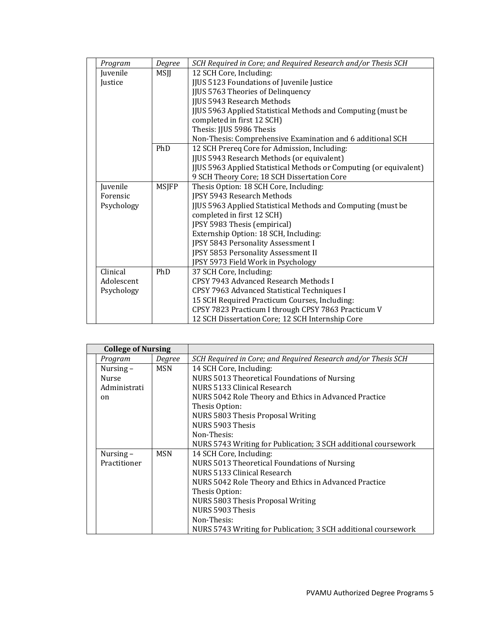| Program    | Degree       | SCH Required in Core; and Required Research and/or Thesis SCH      |
|------------|--------------|--------------------------------------------------------------------|
| Juvenile   | MSJJ         | 12 SCH Core, Including:                                            |
| Justice    |              | JJUS 5123 Foundations of Juvenile Justice                          |
|            |              | <b>JJUS 5763 Theories of Delinquency</b>                           |
|            |              | <b>JJUS 5943 Research Methods</b>                                  |
|            |              | JJUS 5963 Applied Statistical Methods and Computing (must be       |
|            |              | completed in first 12 SCH)                                         |
|            |              | Thesis: JJUS 5986 Thesis                                           |
|            |              | Non-Thesis: Comprehensive Examination and 6 additional SCH         |
|            | PhD          | 12 SCH Prereq Core for Admission, Including:                       |
|            |              | JJUS 5943 Research Methods (or equivalent)                         |
|            |              | JJUS 5963 Applied Statistical Methods or Computing (or equivalent) |
|            |              | 9 SCH Theory Core; 18 SCH Dissertation Core                        |
| Juvenile   | <b>MSJFP</b> | Thesis Option: 18 SCH Core, Including:                             |
| Forensic   |              | JPSY 5943 Research Methods                                         |
| Psychology |              | JJUS 5963 Applied Statistical Methods and Computing (must be       |
|            |              | completed in first 12 SCH)                                         |
|            |              | JPSY 5983 Thesis (empirical)                                       |
|            |              | Externship Option: 18 SCH, Including:                              |
|            |              | JPSY 5843 Personality Assessment I                                 |
|            |              | JPSY 5853 Personality Assessment II                                |
|            |              | JPSY 5973 Field Work in Psychology                                 |
| Clinical   | PhD          | 37 SCH Core, Including:                                            |
| Adolescent |              | CPSY 7943 Advanced Research Methods I                              |
| Psychology |              | CPSY 7963 Advanced Statistical Techniques I                        |
|            |              | 15 SCH Required Practicum Courses, Including:                      |
|            |              | CPSY 7823 Practicum I through CPSY 7863 Practicum V                |
|            |              | 12 SCH Dissertation Core; 12 SCH Internship Core                   |

| <b>College of Nursing</b> |        |                                                                |
|---------------------------|--------|----------------------------------------------------------------|
| Program                   | Degree | SCH Required in Core; and Required Research and/or Thesis SCH  |
| Nursing $-$               | MSN    | 14 SCH Core, Including:                                        |
| <b>Nurse</b>              |        | NURS 5013 Theoretical Foundations of Nursing                   |
| Administrati              |        | NURS 5133 Clinical Research                                    |
| on                        |        | NURS 5042 Role Theory and Ethics in Advanced Practice          |
|                           |        | Thesis Option:                                                 |
|                           |        | NURS 5803 Thesis Proposal Writing                              |
|                           |        | NURS 5903 Thesis                                               |
|                           |        | Non-Thesis:                                                    |
|                           |        | NURS 5743 Writing for Publication; 3 SCH additional coursework |
| Nursing $-$               | MSN    | 14 SCH Core, Including:                                        |
| Practitioner              |        | NURS 5013 Theoretical Foundations of Nursing                   |
|                           |        | NURS 5133 Clinical Research                                    |
|                           |        | NURS 5042 Role Theory and Ethics in Advanced Practice          |
|                           |        | Thesis Option:                                                 |
|                           |        | NURS 5803 Thesis Proposal Writing                              |
|                           |        | NURS 5903 Thesis                                               |
|                           |        | Non-Thesis:                                                    |
|                           |        | NURS 5743 Writing for Publication; 3 SCH additional coursework |